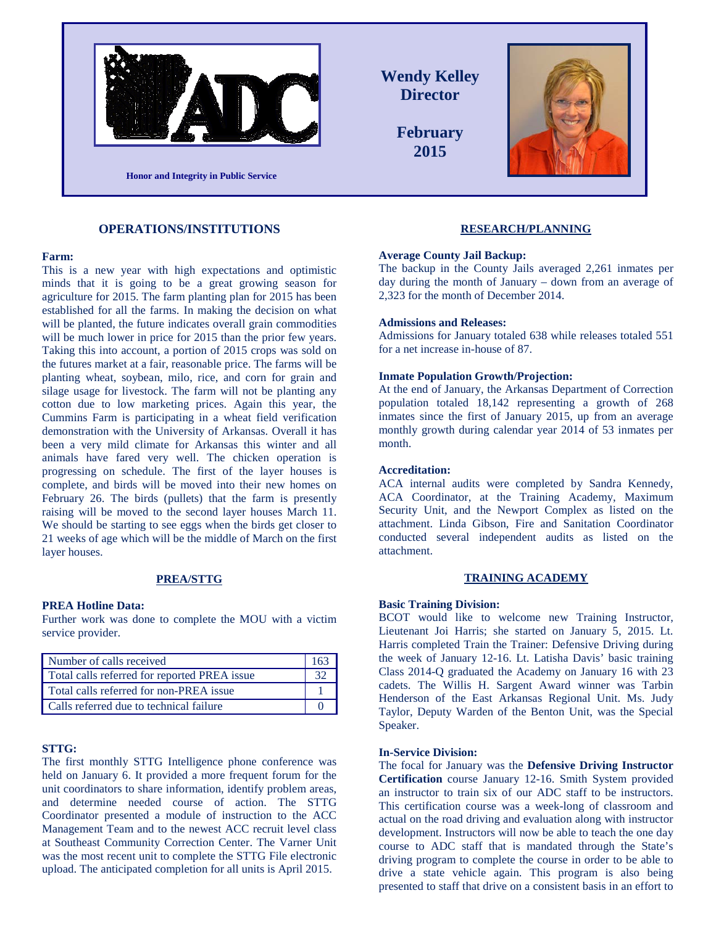

**OPERATIONS/INSTITUTIONS**

### **Farm:**

This is a new year with high expectations and optimistic minds that it is going to be a great growing season for agriculture for 2015. The farm planting plan for 2015 has been established for all the farms. In making the decision on what will be planted, the future indicates overall grain commodities will be much lower in price for 2015 than the prior few years. Taking this into account, a portion of 2015 crops was sold on the futures market at a fair, reasonable price. The farms will be planting wheat, soybean, milo, rice, and corn for grain and silage usage for livestock. The farm will not be planting any cotton due to low marketing prices. Again this year, the Cummins Farm is participating in a wheat field verification demonstration with the University of Arkansas. Overall it has been a very mild climate for Arkansas this winter and all animals have fared very well. The chicken operation is progressing on schedule. The first of the layer houses is complete, and birds will be moved into their new homes on February 26. The birds (pullets) that the farm is presently raising will be moved to the second layer houses March 11. We should be starting to see eggs when the birds get closer to 21 weeks of age which will be the middle of March on the first layer houses.

#### **PREA/STTG**

### **PREA Hotline Data:**

Further work was done to complete the MOU with a victim service provider.

| Number of calls received                     | 163 |
|----------------------------------------------|-----|
| Total calls referred for reported PREA issue |     |
| Total calls referred for non-PREA issue      |     |
| Calls referred due to technical failure      |     |

### **STTG:**

The first monthly STTG Intelligence phone conference was held on January 6. It provided a more frequent forum for the unit coordinators to share information, identify problem areas, and determine needed course of action. The STTG Coordinator presented a module of instruction to the ACC Management Team and to the newest ACC recruit level class at Southeast Community Correction Center. The Varner Unit was the most recent unit to complete the STTG File electronic upload. The anticipated completion for all units is April 2015.

**Wendy Kelley Director February 2015**



#### **RESEARCH/PLANNING**

#### **Average County Jail Backup:**

The backup in the County Jails averaged 2,261 inmates per day during the month of January – down from an average of 2,323 for the month of December 2014.

#### **Admissions and Releases:**

Admissions for January totaled 638 while releases totaled 551 for a net increase in-house of 87.

#### **Inmate Population Growth/Projection:**

At the end of January, the Arkansas Department of Correction population totaled 18,142 representing a growth of 268 inmates since the first of January 2015, up from an average monthly growth during calendar year 2014 of 53 inmates per month.

## **Accreditation:**

ACA internal audits were completed by Sandra Kennedy, ACA Coordinator, at the Training Academy, Maximum Security Unit, and the Newport Complex as listed on the attachment. Linda Gibson, Fire and Sanitation Coordinator conducted several independent audits as listed on the attachment.

### **TRAINING ACADEMY**

### **Basic Training Division:**

BCOT would like to welcome new Training Instructor, Lieutenant Joi Harris; she started on January 5, 2015. Lt. Harris completed Train the Trainer: Defensive Driving during the week of January 12-16. Lt. Latisha Davis' basic training Class 2014-Q graduated the Academy on January 16 with 23 cadets. The Willis H. Sargent Award winner was Tarbin Henderson of the East Arkansas Regional Unit. Ms. Judy Taylor, Deputy Warden of the Benton Unit, was the Special Speaker.

### **In-Service Division:**

The focal for January was the **Defensive Driving Instructor Certification** course January 12-16. Smith System provided an instructor to train six of our ADC staff to be instructors. This certification course was a week-long of classroom and actual on the road driving and evaluation along with instructor development. Instructors will now be able to teach the one day course to ADC staff that is mandated through the State's driving program to complete the course in order to be able to drive a state vehicle again. This program is also being presented to staff that drive on a consistent basis in an effort to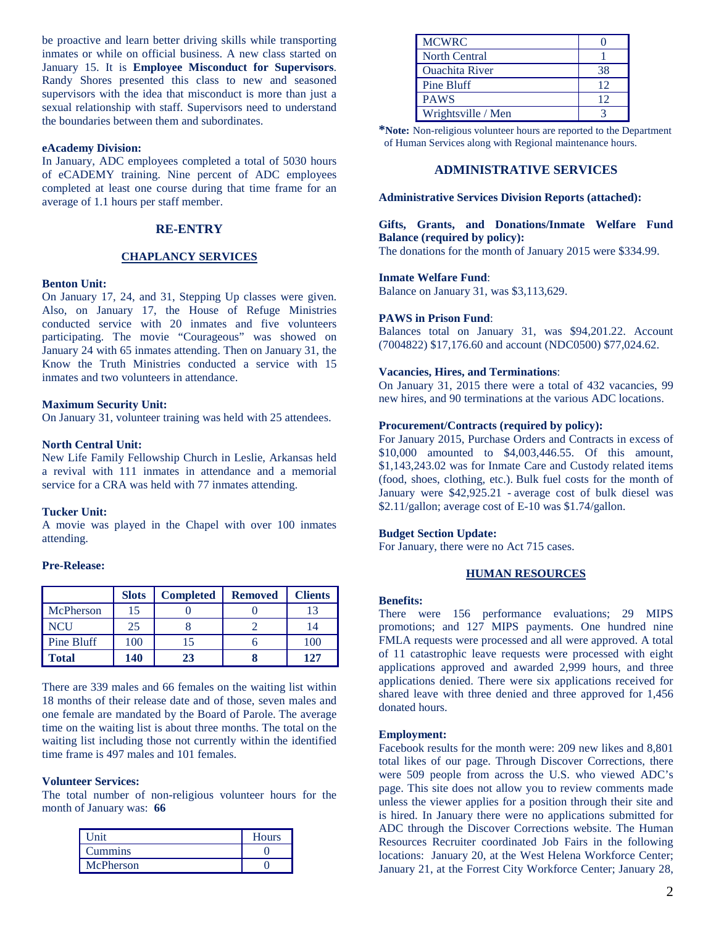be proactive and learn better driving skills while transporting inmates or while on official business. A new class started on January 15. It is **Employee Misconduct for Supervisors**. Randy Shores presented this class to new and seasoned supervisors with the idea that misconduct is more than just a sexual relationship with staff. Supervisors need to understand the boundaries between them and subordinates.

#### **eAcademy Division:**

In January, ADC employees completed a total of 5030 hours of eCADEMY training. Nine percent of ADC employees completed at least one course during that time frame for an average of 1.1 hours per staff member.

### **RE-ENTRY**

## **CHAPLANCY SERVICES**

#### **Benton Unit:**

On January 17, 24, and 31, Stepping Up classes were given. Also, on January 17, the House of Refuge Ministries conducted service with 20 inmates and five volunteers participating. The movie "Courageous" was showed on January 24 with 65 inmates attending. Then on January 31, the Know the Truth Ministries conducted a service with 15 inmates and two volunteers in attendance.

### **Maximum Security Unit:**

On January 31, volunteer training was held with 25 attendees.

### **North Central Unit:**

New Life Family Fellowship Church in Leslie, Arkansas held a revival with 111 inmates in attendance and a memorial service for a CRA was held with 77 inmates attending.

#### **Tucker Unit:**

A movie was played in the Chapel with over 100 inmates attending.

### **Pre-Release:**

|                   | <b>Slots</b> | <b>Completed</b> | <b>Removed</b> | <b>Clients</b> |
|-------------------|--------------|------------------|----------------|----------------|
| McPherson         | 15           |                  |                | 13             |
| <b>NCU</b>        | 25           |                  |                | 14             |
| <b>Pine Bluff</b> | 100          |                  |                | 100            |
| <b>Total</b>      | 140          | 23               |                | 127            |

There are 339 males and 66 females on the waiting list within 18 months of their release date and of those, seven males and one female are mandated by the Board of Parole. The average time on the waiting list is about three months. The total on the waiting list including those not currently within the identified time frame is 497 males and 101 females.

### **Volunteer Services:**

The total number of non-religious volunteer hours for the month of January was: **66**

| Unit           | <b>Hours</b> |
|----------------|--------------|
| <b>Cummins</b> |              |
| McPherson      |              |

| <b>MCWRC</b>          |    |
|-----------------------|----|
| <b>North Central</b>  |    |
| <b>Ouachita River</b> | 38 |
| Pine Bluff            | 12 |
| <b>PAWS</b>           | 12 |
| Wrightsville / Men    |    |

**\*Note:** Non-religious volunteer hours are reported to the Department of Human Services along with Regional maintenance hours.

### **ADMINISTRATIVE SERVICES**

#### **Administrative Services Division Reports (attached):**

**Gifts, Grants, and Donations/Inmate Welfare Fund Balance (required by policy):**

The donations for the month of January 2015 were \$334.99.

### **Inmate Welfare Fund**:

Balance on January 31, was \$3,113,629.

### **PAWS in Prison Fund**:

Balances total on January 31, was \$94,201.22. Account (7004822) \$17,176.60 and account (NDC0500) \$77,024.62.

#### **Vacancies, Hires, and Terminations**:

On January 31, 2015 there were a total of 432 vacancies, 99 new hires, and 90 terminations at the various ADC locations.

### **Procurement/Contracts (required by policy):**

For January 2015, Purchase Orders and Contracts in excess of \$10,000 amounted to \$4,003,446.55. Of this amount, \$1,143,243.02 was for Inmate Care and Custody related items (food, shoes, clothing, etc.). Bulk fuel costs for the month of January were \$42,925.21 - average cost of bulk diesel was \$2.11/gallon; average cost of E-10 was \$1.74/gallon.

### **Budget Section Update:**

For January, there were no Act 715 cases.

#### **HUMAN RESOURCES**

#### **Benefits:**

There were 156 performance evaluations; 29 MIPS promotions; and 127 MIPS payments. One hundred nine FMLA requests were processed and all were approved. A total of 11 catastrophic leave requests were processed with eight applications approved and awarded 2,999 hours, and three applications denied. There were six applications received for shared leave with three denied and three approved for 1,456 donated hours.

#### **Employment:**

Facebook results for the month were: 209 new likes and 8,801 total likes of our page. Through Discover Corrections, there were 509 people from across the U.S. who viewed ADC's page. This site does not allow you to review comments made unless the viewer applies for a position through their site and is hired. In January there were no applications submitted for ADC through the Discover Corrections website. The Human Resources Recruiter coordinated Job Fairs in the following locations: January 20, at the West Helena Workforce Center; January 21, at the Forrest City Workforce Center; January 28,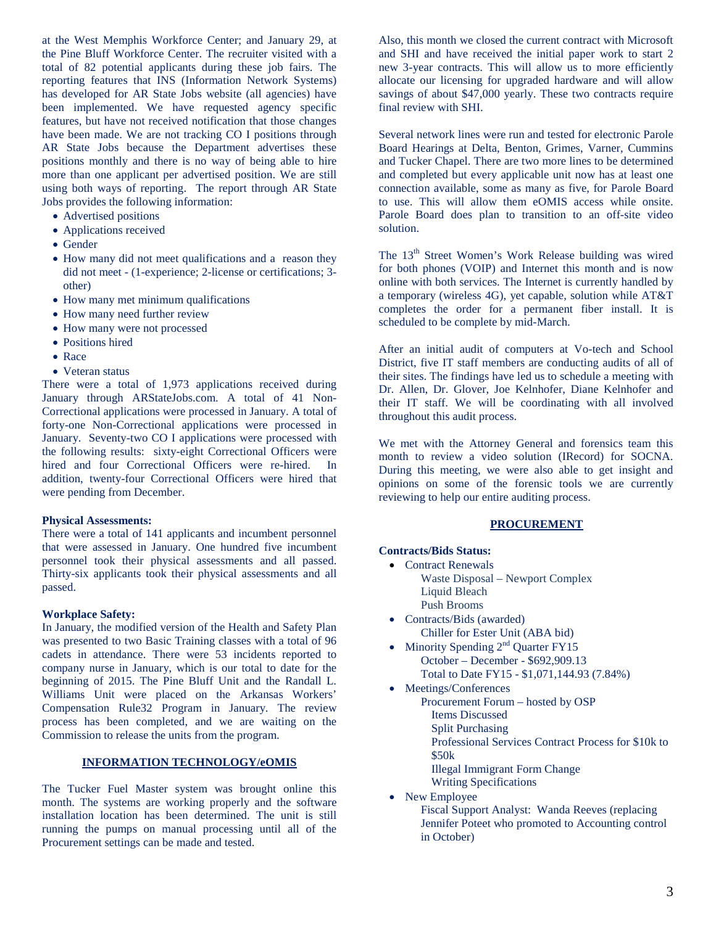at the West Memphis Workforce Center; and January 29, at the Pine Bluff Workforce Center. The recruiter visited with a total of 82 potential applicants during these job fairs. The reporting features that INS (Information Network Systems) has developed for AR State Jobs website (all agencies) have been implemented. We have requested agency specific features, but have not received notification that those changes have been made. We are not tracking CO I positions through AR State Jobs because the Department advertises these positions monthly and there is no way of being able to hire more than one applicant per advertised position. We are still using both ways of reporting. The report through AR State Jobs provides the following information:

- Advertised positions
- Applications received
- Gender
- How many did not meet qualifications and a reason they did not meet - (1-experience; 2-license or certifications; 3 other)
- How many met minimum qualifications
- How many need further review
- How many were not processed
- Positions hired
- Race
- Veteran status

There were a total of 1,973 applications received during January through ARStateJobs.com. A total of 41 Non-Correctional applications were processed in January. A total of forty-one Non-Correctional applications were processed in January. Seventy-two CO I applications were processed with the following results: sixty-eight Correctional Officers were hired and four Correctional Officers were re-hired. In addition, twenty-four Correctional Officers were hired that were pending from December.

### **Physical Assessments:**

There were a total of 141 applicants and incumbent personnel that were assessed in January. One hundred five incumbent personnel took their physical assessments and all passed. Thirty-six applicants took their physical assessments and all passed.

### **Workplace Safety:**

In January, the modified version of the Health and Safety Plan was presented to two Basic Training classes with a total of 96 cadets in attendance. There were 53 incidents reported to company nurse in January, which is our total to date for the beginning of 2015. The Pine Bluff Unit and the Randall L. Williams Unit were placed on the Arkansas Workers' Compensation Rule32 Program in January. The review process has been completed, and we are waiting on the Commission to release the units from the program.

## **INFORMATION TECHNOLOGY/eOMIS**

The Tucker Fuel Master system was brought online this month. The systems are working properly and the software installation location has been determined. The unit is still running the pumps on manual processing until all of the Procurement settings can be made and tested.

Also, this month we closed the current contract with Microsoft and SHI and have received the initial paper work to start 2 new 3-year contracts. This will allow us to more efficiently allocate our licensing for upgraded hardware and will allow savings of about \$47,000 yearly. These two contracts require final review with SHI.

Several network lines were run and tested for electronic Parole Board Hearings at Delta, Benton, Grimes, Varner, Cummins and Tucker Chapel. There are two more lines to be determined and completed but every applicable unit now has at least one connection available, some as many as five, for Parole Board to use. This will allow them eOMIS access while onsite. Parole Board does plan to transition to an off-site video solution.

The 13<sup>th</sup> Street Women's Work Release building was wired for both phones (VOIP) and Internet this month and is now online with both services. The Internet is currently handled by a temporary (wireless 4G), yet capable, solution while AT&T completes the order for a permanent fiber install. It is scheduled to be complete by mid-March.

After an initial audit of computers at Vo-tech and School District, five IT staff members are conducting audits of all of their sites. The findings have led us to schedule a meeting with Dr. Allen, Dr. Glover, Joe Kelnhofer, Diane Kelnhofer and their IT staff. We will be coordinating with all involved throughout this audit process.

We met with the Attorney General and forensics team this month to review a video solution (IRecord) for SOCNA. During this meeting, we were also able to get insight and opinions on some of the forensic tools we are currently reviewing to help our entire auditing process.

## **PROCUREMENT**

### **Contracts/Bids Status:**

- Contract Renewals Waste Disposal – Newport Complex Liquid Bleach Push Brooms
- Contracts/Bids (awarded) Chiller for Ester Unit (ABA bid)
- Minority Spending  $2<sup>nd</sup>$  Quarter FY15 October – December - \$692,909.13 Total to Date FY15 - \$1,071,144.93 (7.84%)
- Meetings/Conferences
	- Procurement Forum hosted by OSP
	- Items Discussed
		- Split Purchasing
		- Professional Services Contract Process for \$10k to
	- \$50k
		- Illegal Immigrant Form Change
	- Writing Specifications
- New Employee

Fiscal Support Analyst: Wanda Reeves (replacing Jennifer Poteet who promoted to Accounting control in October)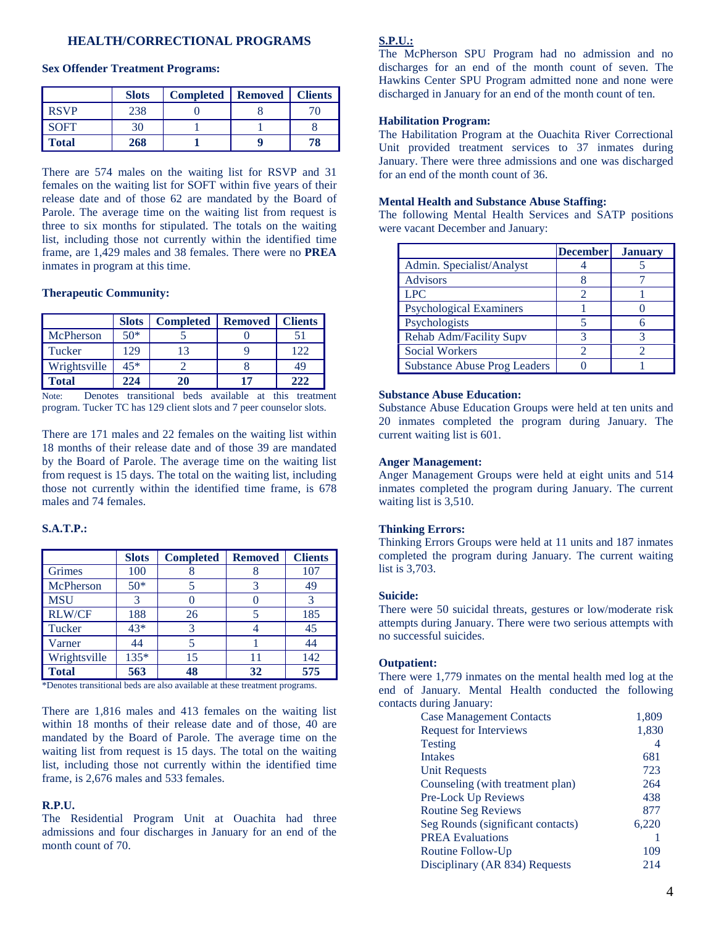## **HEALTH/CORRECTIONAL PROGRAMS**

|              | <b>Slots</b> | <b>Completed</b> | <b>Removed</b> | <b>Clients</b> |
|--------------|--------------|------------------|----------------|----------------|
| <b>RSVP</b>  | 238          |                  |                | 70.            |
| <b>SOFT</b>  | 30           |                  |                |                |
| <b>Total</b> | 268          |                  |                | 78             |

#### **Sex Offender Treatment Programs:**

There are 574 males on the waiting list for RSVP and 31 females on the waiting list for SOFT within five years of their release date and of those 62 are mandated by the Board of Parole. The average time on the waiting list from request is three to six months for stipulated. The totals on the waiting list, including those not currently within the identified time frame, are 1,429 males and 38 females. There were no **PREA** inmates in program at this time.

#### **Therapeutic Community:**

|              | <b>Slots</b> | <b>Completed</b> | <b>Removed</b> | <b>Clients</b> |
|--------------|--------------|------------------|----------------|----------------|
| McPherson    | $50*$        |                  |                | 51             |
| Tucker       | 129          | 13               |                | 122            |
| Wrightsville | $45*$        |                  |                | 49             |
| <b>Total</b> | 224          | 20               | 17             | 222            |

Note: Denotes transitional beds available at this treatment program. Tucker TC has 129 client slots and 7 peer counselor slots.

There are 171 males and 22 females on the waiting list within 18 months of their release date and of those 39 are mandated by the Board of Parole. The average time on the waiting list from request is 15 days. The total on the waiting list, including those not currently within the identified time frame, is 678 males and 74 females.

# **S.A.T.P.:**

|               | <b>Slots</b> | <b>Completed</b> | <b>Removed</b> | <b>Clients</b> |
|---------------|--------------|------------------|----------------|----------------|
| Grimes        | 100          |                  |                | 107            |
| McPherson     | $50*$        |                  |                | 49             |
| <b>MSU</b>    | 3            |                  |                | 3              |
| <b>RLW/CF</b> | 188          | 26               |                | 185            |
| Tucker        | $43*$        | 3                |                | 45             |
| Varner        | 44           | 5                |                | 44             |
| Wrightsville  | 135*         | 15               | 11             | 142            |
| <b>Total</b>  | 563          | 48               | 32             | 575            |

\*Denotes transitional beds are also available at these treatment programs.

There are 1,816 males and 413 females on the waiting list within 18 months of their release date and of those, 40 are mandated by the Board of Parole. The average time on the waiting list from request is 15 days. The total on the waiting list, including those not currently within the identified time frame, is 2,676 males and 533 females.

#### **R.P.U.**

The Residential Program Unit at Ouachita had three admissions and four discharges in January for an end of the month count of 70.

## **S.P.U.:**

The McPherson SPU Program had no admission and no discharges for an end of the month count of seven. The Hawkins Center SPU Program admitted none and none were discharged in January for an end of the month count of ten.

## **Habilitation Program:**

The Habilitation Program at the Ouachita River Correctional Unit provided treatment services to 37 inmates during January. There were three admissions and one was discharged for an end of the month count of 36.

### **Mental Health and Substance Abuse Staffing:**

The following Mental Health Services and SATP positions were vacant December and January:

|                                     | <b>December</b> | <b>January</b> |
|-------------------------------------|-----------------|----------------|
| Admin. Specialist/Analyst           |                 |                |
| <b>Advisors</b>                     |                 |                |
| <b>LPC</b>                          |                 |                |
| <b>Psychological Examiners</b>      |                 |                |
| Psychologists                       |                 |                |
| Rehab Adm/Facility Supv             |                 |                |
| <b>Social Workers</b>               |                 |                |
| <b>Substance Abuse Prog Leaders</b> |                 |                |

#### **Substance Abuse Education:**

Substance Abuse Education Groups were held at ten units and 20 inmates completed the program during January. The current waiting list is 601.

#### **Anger Management:**

Anger Management Groups were held at eight units and 514 inmates completed the program during January. The current waiting list is 3,510.

### **Thinking Errors:**

Thinking Errors Groups were held at 11 units and 187 inmates completed the program during January. The current waiting list is 3,703.

### **Suicide:**

There were 50 suicidal threats, gestures or low/moderate risk attempts during January. There were two serious attempts with no successful suicides.

#### **Outpatient:**

There were 1,779 inmates on the mental health med log at the end of January. Mental Health conducted the following contacts during January:

| <b>Case Management Contacts</b>   | 1,809 |
|-----------------------------------|-------|
| <b>Request for Interviews</b>     | 1,830 |
| <b>Testing</b>                    | 4     |
| <b>Intakes</b>                    | 681   |
| Unit Requests                     | 723   |
| Counseling (with treatment plan)  | 264   |
| Pre-Lock Up Reviews               | 438   |
| <b>Routine Seg Reviews</b>        | 877   |
| Seg Rounds (significant contacts) | 6,220 |
| <b>PREA Evaluations</b>           |       |
| Routine Follow-Up                 | 109   |
| Disciplinary (AR 834) Requests    | 214   |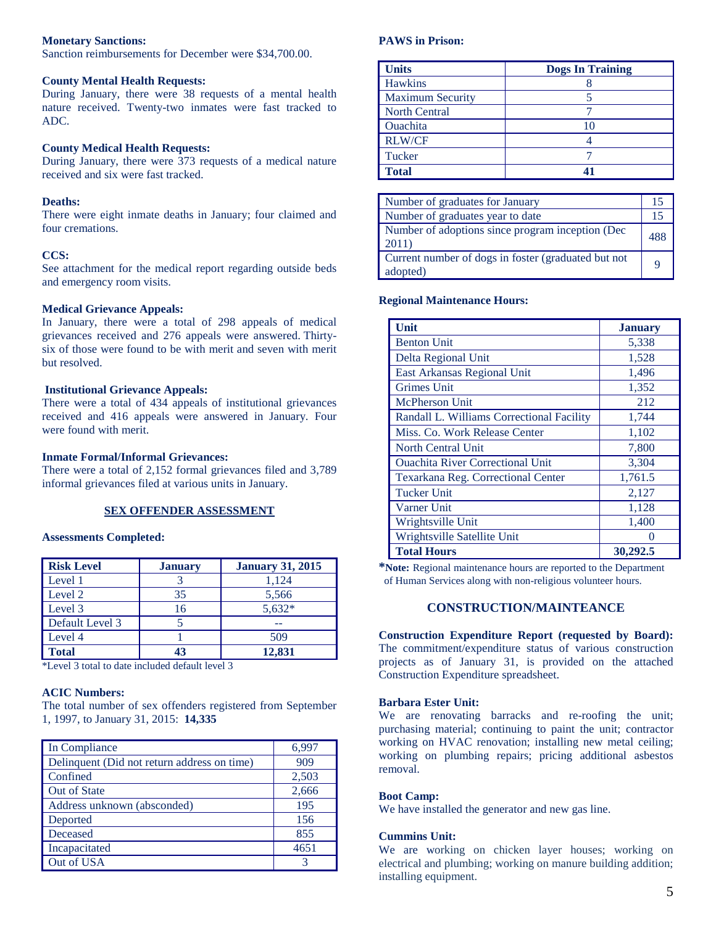### **Monetary Sanctions:**

Sanction reimbursements for December were \$34,700.00.

### **County Mental Health Requests:**

During January, there were 38 requests of a mental health nature received. Twenty-two inmates were fast tracked to ADC.

### **County Medical Health Requests:**

During January, there were 373 requests of a medical nature received and six were fast tracked.

#### **Deaths:**

There were eight inmate deaths in January; four claimed and four cremations.

#### **CCS:**

See attachment for the medical report regarding outside beds and emergency room visits.

#### **Medical Grievance Appeals:**

In January, there were a total of 298 appeals of medical grievances received and 276 appeals were answered. Thirtysix of those were found to be with merit and seven with merit but resolved.

#### **Institutional Grievance Appeals:**

There were a total of 434 appeals of institutional grievances received and 416 appeals were answered in January. Four were found with merit.

### **Inmate Formal/Informal Grievances:**

There were a total of 2,152 formal grievances filed and 3,789 informal grievances filed at various units in January.

### **SEX OFFENDER ASSESSMENT**

### **Assessments Completed:**

| <b>Risk Level</b> | <b>January</b> | <b>January 31, 2015</b> |
|-------------------|----------------|-------------------------|
| Level 1           |                | 1,124                   |
| Level 2           | 35             | 5,566                   |
| Level 3           | 16             | $5,632*$                |
| Default Level 3   |                |                         |
| Level 4           |                | 509                     |
| <b>Total</b>      | 43             | 12,831                  |

\*Level 3 total to date included default level 3

## **ACIC Numbers:**

The total number of sex offenders registered from September 1, 1997, to January 31, 2015: **14,335**

| In Compliance                               | 6,997 |
|---------------------------------------------|-------|
| Delinquent (Did not return address on time) | 909   |
| Confined                                    | 2,503 |
| <b>Out of State</b>                         | 2,666 |
| Address unknown (absconded)                 | 195   |
| Deported                                    | 156   |
| Deceased                                    | 855   |
| Incapacitated                               | 4651  |
| Out of USA                                  |       |

## **PAWS in Prison:**

| <b>Units</b>            | <b>Dogs In Training</b> |
|-------------------------|-------------------------|
| Hawkins                 |                         |
| <b>Maximum Security</b> |                         |
| <b>North Central</b>    |                         |
| <b>Ouachita</b>         |                         |
| <b>RLW/CF</b>           |                         |
| Tucker                  |                         |
| <b>Total</b>            |                         |

| Number of graduates for January                                 | 15  |
|-----------------------------------------------------------------|-----|
| Number of graduates year to date                                | 15  |
| Number of adoptions since program inception (Dec<br>2011)       | 488 |
| Current number of dogs in foster (graduated but not<br>adopted) | Q   |

#### **Regional Maintenance Hours:**

| Unit                                      | <b>January</b> |
|-------------------------------------------|----------------|
| <b>Benton Unit</b>                        | 5,338          |
| Delta Regional Unit                       | 1,528          |
| East Arkansas Regional Unit               | 1,496          |
| <b>Grimes Unit</b>                        | 1,352          |
| <b>McPherson Unit</b>                     | 212            |
| Randall L. Williams Correctional Facility | 1,744          |
| Miss. Co. Work Release Center             | 1,102          |
| <b>North Central Unit</b>                 | 7,800          |
| <b>Ouachita River Correctional Unit</b>   | 3,304          |
| <b>Texarkana Reg. Correctional Center</b> | 1,761.5        |
| <b>Tucker Unit</b>                        | 2,127          |
| Varner Unit                               | 1,128          |
| Wrightsville Unit                         | 1,400          |
| Wrightsville Satellite Unit               |                |
| <b>Total Hours</b>                        | 30,292.5       |

**\*Note:** Regional maintenance hours are reported to the Department of Human Services along with non-religious volunteer hours.

## **CONSTRUCTION/MAINTEANCE**

**Construction Expenditure Report (requested by Board):** The commitment/expenditure status of various construction projects as of January 31, is provided on the attached Construction Expenditure spreadsheet.

#### **Barbara Ester Unit:**

We are renovating barracks and re-roofing the unit; purchasing material; continuing to paint the unit; contractor working on HVAC renovation; installing new metal ceiling; working on plumbing repairs; pricing additional asbestos removal.

### **Boot Camp:**

We have installed the generator and new gas line.

### **Cummins Unit:**

We are working on chicken layer houses; working on electrical and plumbing; working on manure building addition; installing equipment.